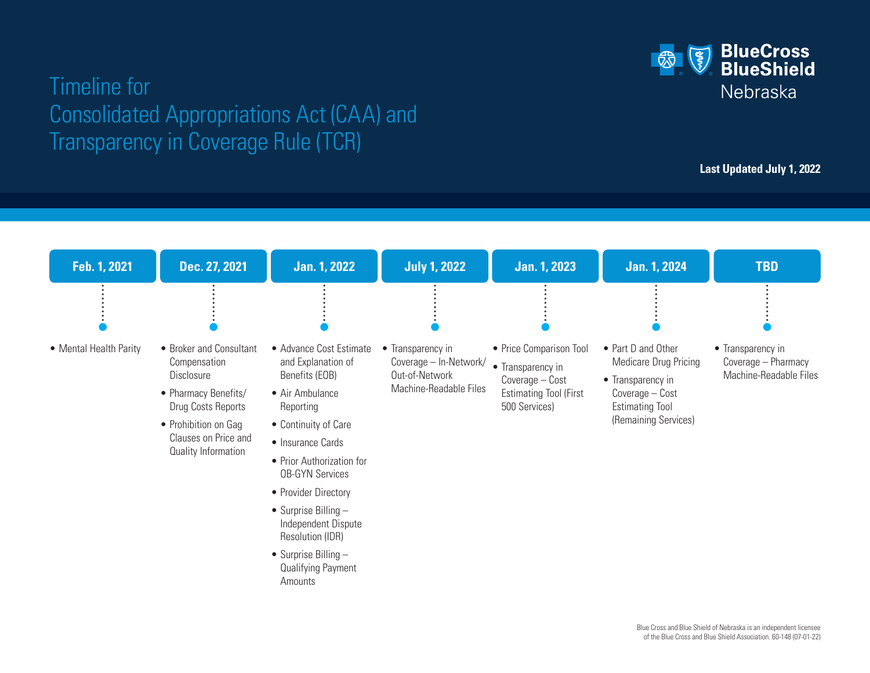## **BlueCross**<br>**BlueShield**  $\left(\frac{8}{5}\right)$ Nebraska

# Timeline for Consolidated Appropriations Act (CAA) and Transparency in Coverage Rule (TCR)

**Last Updated July 1, 2022**

| Feb. 1, 2021           | Dec. 27, 2021                                                                                                                                                              | <b>Jan. 1, 2022</b>                                                                                                                                                                                                                                                                                                                                         | <b>July 1, 2022</b>                                                                     | <b>Jan. 1, 2023</b>                                                                                               | <b>Jan. 1, 2024</b>                                                                                                                   | <b>TBD</b>                                                         |
|------------------------|----------------------------------------------------------------------------------------------------------------------------------------------------------------------------|-------------------------------------------------------------------------------------------------------------------------------------------------------------------------------------------------------------------------------------------------------------------------------------------------------------------------------------------------------------|-----------------------------------------------------------------------------------------|-------------------------------------------------------------------------------------------------------------------|---------------------------------------------------------------------------------------------------------------------------------------|--------------------------------------------------------------------|
|                        |                                                                                                                                                                            |                                                                                                                                                                                                                                                                                                                                                             |                                                                                         |                                                                                                                   |                                                                                                                                       |                                                                    |
| • Mental Health Parity | • Broker and Consultant<br>Compensation<br>Disclosure<br>• Pharmacy Benefits/<br>Drug Costs Reports<br>• Prohibition on Gag<br>Clauses on Price and<br>Quality Information | • Advance Cost Estimate<br>and Explanation of<br>Benefits (EOB)<br>• Air Ambulance<br>Reporting<br>• Continuity of Care<br>• Insurance Cards<br>• Prior Authorization for<br><b>OB-GYN Services</b><br>• Provider Directory<br>• Surprise Billing $-$<br>Independent Dispute<br>Resolution (IDR)<br>• Surprise Billing $-$<br>Qualifying Payment<br>Amounts | • Transparency in<br>Coverage - In-Network/<br>Out-of-Network<br>Machine-Readable Files | • Price Comparison Tool<br>• Transparency in<br>Coverage - Cost<br><b>Estimating Tool (First</b><br>500 Services) | • Part D and Other<br>Medicare Drug Pricing<br>• Transparency in<br>Coverage - Cost<br><b>Estimating Tool</b><br>(Remaining Services) | • Transparency in<br>Coverage - Pharmacy<br>Machine-Readable Files |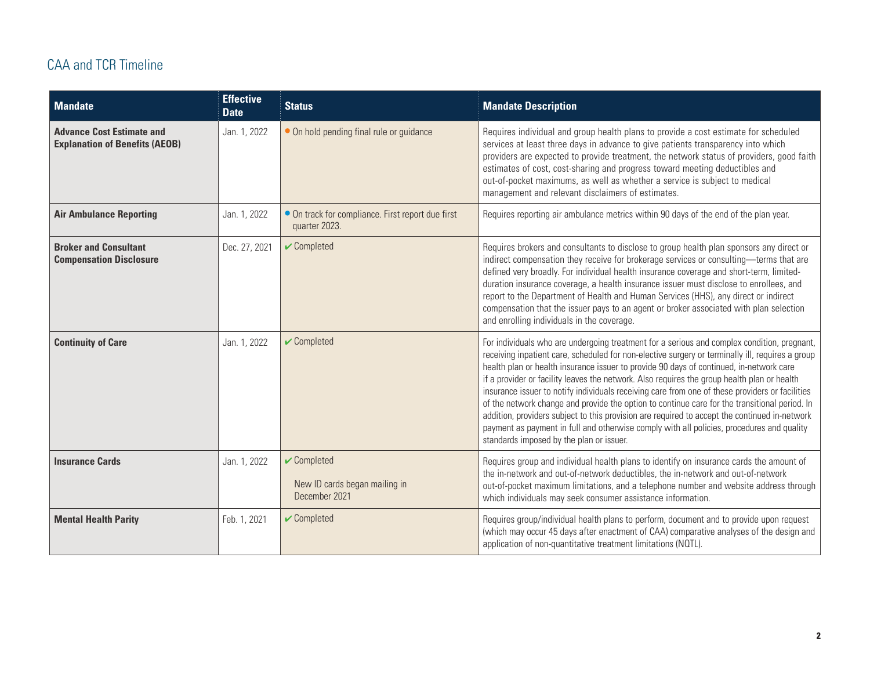### CAA and TCR Timeline

| <b>Mandate</b>                                                            | <b>Effective</b><br><b>Date</b> | <b>Status</b>                                                                    | <b>Mandate Description</b>                                                                                                                                                                                                                                                                                                                                                                                                                                                                                                                                                                                                                                                                                                                                                                                                              |
|---------------------------------------------------------------------------|---------------------------------|----------------------------------------------------------------------------------|-----------------------------------------------------------------------------------------------------------------------------------------------------------------------------------------------------------------------------------------------------------------------------------------------------------------------------------------------------------------------------------------------------------------------------------------------------------------------------------------------------------------------------------------------------------------------------------------------------------------------------------------------------------------------------------------------------------------------------------------------------------------------------------------------------------------------------------------|
| <b>Advance Cost Estimate and</b><br><b>Explanation of Benefits (AEOB)</b> | Jan. 1, 2022                    | • On hold pending final rule or guidance                                         | Requires individual and group health plans to provide a cost estimate for scheduled<br>services at least three days in advance to give patients transparency into which<br>providers are expected to provide treatment, the network status of providers, good faith<br>estimates of cost, cost-sharing and progress toward meeting deductibles and<br>out-of-pocket maximums, as well as whether a service is subject to medical<br>management and relevant disclaimers of estimates.                                                                                                                                                                                                                                                                                                                                                   |
| <b>Air Ambulance Reporting</b>                                            | Jan. 1, 2022                    | • On track for compliance. First report due first<br>quarter 2023.               | Requires reporting air ambulance metrics within 90 days of the end of the plan year.                                                                                                                                                                                                                                                                                                                                                                                                                                                                                                                                                                                                                                                                                                                                                    |
| <b>Broker and Consultant</b><br><b>Compensation Disclosure</b>            | Dec. 27, 2021                   | $\sqrt{\frac{1}{2}}$ Completed                                                   | Requires brokers and consultants to disclose to group health plan sponsors any direct or<br>indirect compensation they receive for brokerage services or consulting-terms that are<br>defined very broadly. For individual health insurance coverage and short-term, limited-<br>duration insurance coverage, a health insurance issuer must disclose to enrollees, and<br>report to the Department of Health and Human Services (HHS), any direct or indirect<br>compensation that the issuer pays to an agent or broker associated with plan selection<br>and enrolling individuals in the coverage.                                                                                                                                                                                                                                  |
| <b>Continuity of Care</b>                                                 | Jan. 1, 2022                    | $\sqrt{\frac{1}{2}}$ Completed                                                   | For individuals who are undergoing treatment for a serious and complex condition, pregnant,<br>receiving inpatient care, scheduled for non-elective surgery or terminally ill, requires a group<br>health plan or health insurance issuer to provide 90 days of continued, in-network care<br>if a provider or facility leaves the network. Also requires the group health plan or health<br>insurance issuer to notify individuals receiving care from one of these providers or facilities<br>of the network change and provide the option to continue care for the transitional period. In<br>addition, providers subject to this provision are required to accept the continued in-network<br>payment as payment in full and otherwise comply with all policies, procedures and quality<br>standards imposed by the plan or issuer. |
| <b>Insurance Cards</b>                                                    | Jan. 1, 2022                    | $\sqrt{\frac{1}{2}}$ Completed<br>New ID cards began mailing in<br>December 2021 | Requires group and individual health plans to identify on insurance cards the amount of<br>the in-network and out-of-network deductibles, the in-network and out-of-network<br>out-of-pocket maximum limitations, and a telephone number and website address through<br>which individuals may seek consumer assistance information.                                                                                                                                                                                                                                                                                                                                                                                                                                                                                                     |
| <b>Mental Health Parity</b>                                               | Feb. 1, 2021                    | $\sqrt{\frac{1}{2}}$ Completed                                                   | Requires group/individual health plans to perform, document and to provide upon request<br>(which may occur 45 days after enactment of CAA) comparative analyses of the design and<br>application of non-quantitative treatment limitations (NQTL).                                                                                                                                                                                                                                                                                                                                                                                                                                                                                                                                                                                     |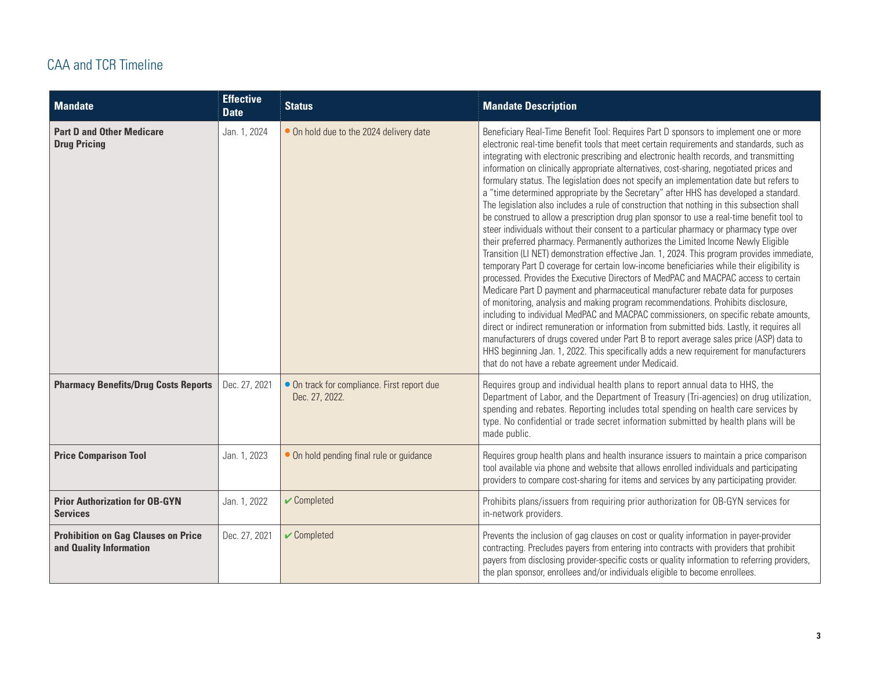### CAA and TCR Timeline

| <b>Mandate</b>                                                        | <b>Effective</b><br><b>Date</b> | <b>Status</b>                                                 | <b>Mandate Description</b>                                                                                                                                                                                                                                                                                                                                                                                                                                                                                                                                                                                                                                                                                                                                                                                                                                                                                                                                                                                                                                                                                                                                                                                                                                                                                                                                                                                                                                                                                                                                                                                                                                                                                                                                                                                                         |
|-----------------------------------------------------------------------|---------------------------------|---------------------------------------------------------------|------------------------------------------------------------------------------------------------------------------------------------------------------------------------------------------------------------------------------------------------------------------------------------------------------------------------------------------------------------------------------------------------------------------------------------------------------------------------------------------------------------------------------------------------------------------------------------------------------------------------------------------------------------------------------------------------------------------------------------------------------------------------------------------------------------------------------------------------------------------------------------------------------------------------------------------------------------------------------------------------------------------------------------------------------------------------------------------------------------------------------------------------------------------------------------------------------------------------------------------------------------------------------------------------------------------------------------------------------------------------------------------------------------------------------------------------------------------------------------------------------------------------------------------------------------------------------------------------------------------------------------------------------------------------------------------------------------------------------------------------------------------------------------------------------------------------------------|
| <b>Part D and Other Medicare</b><br><b>Drug Pricing</b>               | Jan. 1, 2024                    | • On hold due to the 2024 delivery date                       | Beneficiary Real-Time Benefit Tool: Requires Part D sponsors to implement one or more<br>electronic real-time benefit tools that meet certain requirements and standards, such as<br>integrating with electronic prescribing and electronic health records, and transmitting<br>information on clinically appropriate alternatives, cost-sharing, negotiated prices and<br>formulary status. The legislation does not specify an implementation date but refers to<br>a "time determined appropriate by the Secretary" after HHS has developed a standard.<br>The legislation also includes a rule of construction that nothing in this subsection shall<br>be construed to allow a prescription drug plan sponsor to use a real-time benefit tool to<br>steer individuals without their consent to a particular pharmacy or pharmacy type over<br>their preferred pharmacy. Permanently authorizes the Limited Income Newly Eligible<br>Transition (LI NET) demonstration effective Jan. 1, 2024. This program provides immediate,<br>temporary Part D coverage for certain low-income beneficiaries while their eligibility is<br>processed. Provides the Executive Directors of MedPAC and MACPAC access to certain<br>Medicare Part D payment and pharmaceutical manufacturer rebate data for purposes<br>of monitoring, analysis and making program recommendations. Prohibits disclosure,<br>including to individual MedPAC and MACPAC commissioners, on specific rebate amounts,<br>direct or indirect remuneration or information from submitted bids. Lastly, it requires all<br>manufacturers of drugs covered under Part B to report average sales price (ASP) data to<br>HHS beginning Jan. 1, 2022. This specifically adds a new requirement for manufacturers<br>that do not have a rebate agreement under Medicaid. |
| <b>Pharmacy Benefits/Drug Costs Reports</b>                           | Dec. 27, 2021                   | • On track for compliance. First report due<br>Dec. 27, 2022. | Requires group and individual health plans to report annual data to HHS, the<br>Department of Labor, and the Department of Treasury (Tri-agencies) on drug utilization,<br>spending and rebates. Reporting includes total spending on health care services by<br>type. No confidential or trade secret information submitted by health plans will be<br>made public.                                                                                                                                                                                                                                                                                                                                                                                                                                                                                                                                                                                                                                                                                                                                                                                                                                                                                                                                                                                                                                                                                                                                                                                                                                                                                                                                                                                                                                                               |
| <b>Price Comparison Tool</b>                                          | Jan. 1, 2023                    | • On hold pending final rule or guidance                      | Requires group health plans and health insurance issuers to maintain a price comparison<br>tool available via phone and website that allows enrolled individuals and participating<br>providers to compare cost-sharing for items and services by any participating provider.                                                                                                                                                                                                                                                                                                                                                                                                                                                                                                                                                                                                                                                                                                                                                                                                                                                                                                                                                                                                                                                                                                                                                                                                                                                                                                                                                                                                                                                                                                                                                      |
| <b>Prior Authorization for OB-GYN</b><br><b>Services</b>              | Jan. 1, 2022                    | $\sqrt{\frac{1}{2}}$ Completed                                | Prohibits plans/issuers from requiring prior authorization for OB-GYN services for<br>in-network providers.                                                                                                                                                                                                                                                                                                                                                                                                                                                                                                                                                                                                                                                                                                                                                                                                                                                                                                                                                                                                                                                                                                                                                                                                                                                                                                                                                                                                                                                                                                                                                                                                                                                                                                                        |
| <b>Prohibition on Gag Clauses on Price</b><br>and Quality Information | Dec. 27, 2021                   | $\sqrt{\frac{1}{2}}$ Completed                                | Prevents the inclusion of gag clauses on cost or quality information in payer-provider<br>contracting. Precludes payers from entering into contracts with providers that prohibit<br>payers from disclosing provider-specific costs or quality information to referring providers,<br>the plan sponsor, enrollees and/or individuals eligible to become enrollees.                                                                                                                                                                                                                                                                                                                                                                                                                                                                                                                                                                                                                                                                                                                                                                                                                                                                                                                                                                                                                                                                                                                                                                                                                                                                                                                                                                                                                                                                 |